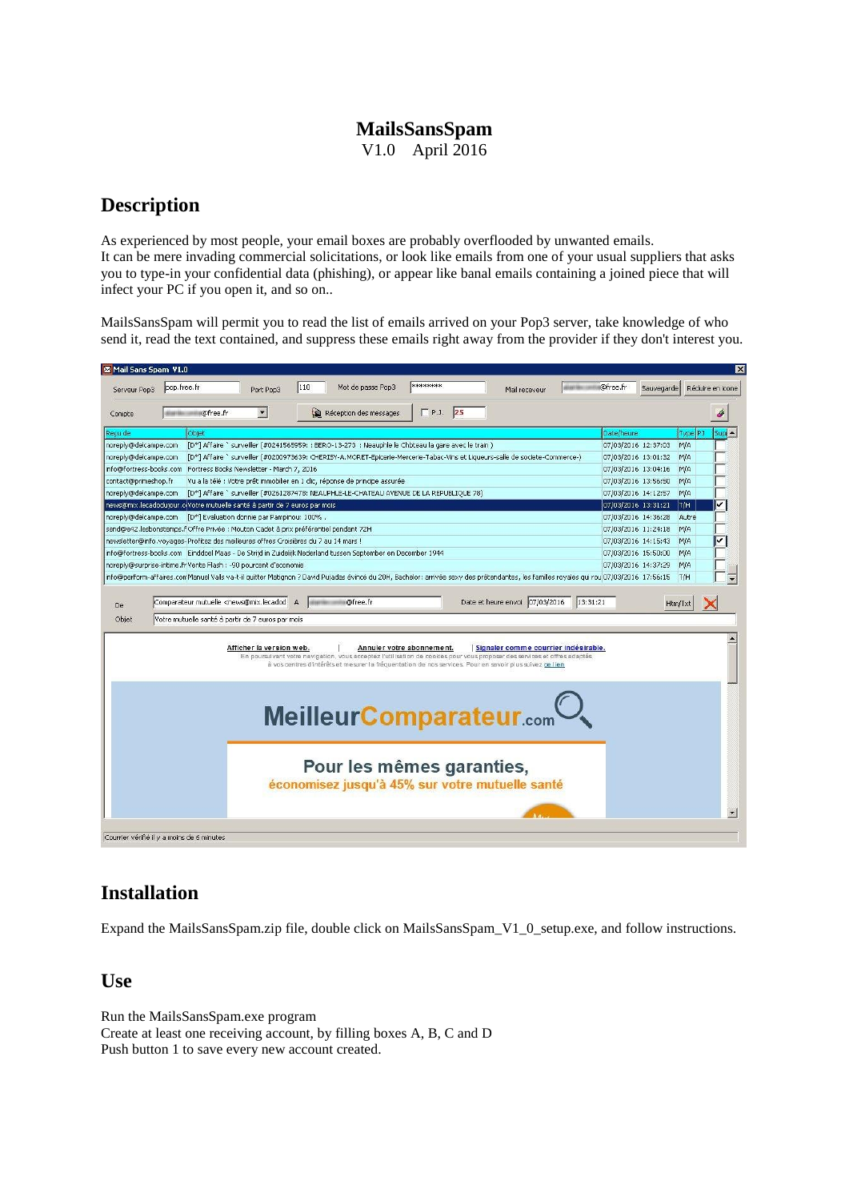## **MailsSansSpam** V1.0 April 2016

# **Description**

As experienced by most people, your email boxes are probably overflooded by unwanted emails. It can be mere invading commercial solicitations, or look like emails from one of your usual suppliers that asks you to type-in your confidential data (phishing), or appear like banal emails containing a joined piece that will infect your PC if you open it, and so on..

MailsSansSpam will permit you to read the list of emails arrived on your Pop3 server, take knowledge of who send it, read the text contained, and suppress these emails right away from the provider if they don't interest you.

| Mail Sans Spam V1.0     |                                                                                                                                                                                         |                                            |     |                                                                                                                                                                                                                                       |                           |  |                                      |          |                     |            |            | $\times$         |
|-------------------------|-----------------------------------------------------------------------------------------------------------------------------------------------------------------------------------------|--------------------------------------------|-----|---------------------------------------------------------------------------------------------------------------------------------------------------------------------------------------------------------------------------------------|---------------------------|--|--------------------------------------|----------|---------------------|------------|------------|------------------|
| Serveur Pop3            | pop.free.fr                                                                                                                                                                             | Port Pop3                                  | 110 | Mot de passe Pop3                                                                                                                                                                                                                     | ********                  |  | Mail receveur                        |          | ⊪@free.fr           | Sauvegarde |            | Réduire en icone |
| Compte                  | @free.fr                                                                                                                                                                                | $\vert \cdot \vert$                        |     | Réception des messages                                                                                                                                                                                                                | P.3.25                    |  |                                      |          |                     |            |            |                  |
| Recu de                 | Objet                                                                                                                                                                                   |                                            |     |                                                                                                                                                                                                                                       |                           |  |                                      |          | Date/heure          |            | Type PJ    |                  |
| noreply@delcampe.com    |                                                                                                                                                                                         |                                            |     | [D*] Affaire ` surveiller (#0241565959; : BERO-13-273 ; Neauphle le Chbteau la gare avec le train)                                                                                                                                    |                           |  |                                      |          | 07/03/2016 12:37:03 |            | M/A        |                  |
| noreply@delcampe.com    |                                                                                                                                                                                         |                                            |     | [D*] Affaire `surveiller (#0200973639: CHERISY-A.MORET-Epicerie-Mercerie-Tabac-Vins et Liqueurs-salle de societe-Commerce-)                                                                                                           |                           |  |                                      |          | 07/03/2016 13:01:32 |            | M/A        |                  |
|                         | info@fortress-books.com Fortress Books Newsletter - March 7, 2016                                                                                                                       |                                            |     |                                                                                                                                                                                                                                       |                           |  |                                      |          | 07/03/2016 13:04:16 |            | <b>M/A</b> |                  |
| contact@primeshop.fr    |                                                                                                                                                                                         |                                            |     | Vu a la télé : Votre prêt immobilier en 1 clic, réponse de principe assurée                                                                                                                                                           |                           |  |                                      |          | 07/03/2016 13:56:50 |            | M/A        |                  |
| noreply@delcampe.com    |                                                                                                                                                                                         |                                            |     | [D*] Affaire `surveiller (#0261287478: NEAUPHLE-LE-CHATEAU AVENUE DE LA REPUBLIQUE 78)                                                                                                                                                |                           |  |                                      |          | 07/03/2016 14:12:57 |            | M/A        |                  |
|                         | news@mix.lecadodujour.c(Votre mutuelle santé à partir de 7 euros par mois                                                                                                               |                                            |     |                                                                                                                                                                                                                                       |                           |  |                                      |          | 07/03/2016 13:31:21 |            | T/H        |                  |
| noreply@delcampe.com    |                                                                                                                                                                                         | [D*] Evaluation donnie par Pampinou: 100%. |     |                                                                                                                                                                                                                                       |                           |  |                                      |          | 07/03/2016 14:36:28 |            | Autre      |                  |
|                         | send@e42.lesbonstemps.f Offre Privée : Mouton Cadet à prix préférentiel pendant 72H                                                                                                     |                                            |     |                                                                                                                                                                                                                                       |                           |  |                                      |          | 07/03/2016 11:24:18 |            | M/A        |                  |
|                         | newsletter@info.voyages-Profitez des meilleures offres Croisières du 7 au 14 mars !                                                                                                     |                                            |     |                                                                                                                                                                                                                                       |                           |  |                                      |          | 07/03/2016 14:15:43 |            | M/A        |                  |
|                         | info@fortress-books.com   Einddoel Maas - De Strijd in Zuidelijk Nederland tussen September en December 1944                                                                            |                                            |     |                                                                                                                                                                                                                                       |                           |  |                                      |          | 07/03/2016 15:50:00 |            | <b>M/A</b> |                  |
|                         | noreply@surprise-intime.fr Vente Flash : -90 pourcent d'economie                                                                                                                        |                                            |     |                                                                                                                                                                                                                                       |                           |  |                                      |          | 07/03/2016 14:37:29 |            | M/A        |                  |
|                         | info@perform-affaires.comManuel Valls va-t-il quitter Matignon ? David Pujadas évincé du 20H, Bachelor: arrivée sexy des prétendantes, les familles royales qui rou 07/03/2016 17:56:15 |                                            |     |                                                                                                                                                                                                                                       |                           |  |                                      |          |                     |            | T/H        |                  |
| De<br>Objet             | Comparateur mutuelle <news@mix.lecadod a<br="">Votre mutuelle santé à partir de 7 euros par mois</news@mix.lecadod>                                                                     |                                            |     | @free.fr                                                                                                                                                                                                                              |                           |  | Date et heure envoi 07/03/2016       | 13:31:21 |                     | Htm/Txt    |            |                  |
|                         |                                                                                                                                                                                         | Afficher la version web.                   |     | En poursuivant votre navigation, vous acceptez l'utilisation de cookies pour vous proposer des services et offres adaptés<br>à vos centres d'intérêts et mesurer la fréquentation de nos services. Pour en savoir plus suivez ce lien | Annuler votre abonnement. |  | Signaler comme courrier indésirable. |          |                     |            |            |                  |
| MeilleurComparateur.com |                                                                                                                                                                                         |                                            |     |                                                                                                                                                                                                                                       |                           |  |                                      |          |                     |            |            |                  |
|                         |                                                                                                                                                                                         |                                            |     | Pour les mêmes garanties,<br>économisez jusqu'à 45% sur votre mutuelle santé                                                                                                                                                          |                           |  | A.A.                                 |          |                     |            |            |                  |
|                         | Courrier vérifié il y a moins de 6 minutes                                                                                                                                              |                                            |     |                                                                                                                                                                                                                                       |                           |  |                                      |          |                     |            |            |                  |

# **Installation**

Expand the MailsSansSpam.zip file, double click on MailsSansSpam\_V1\_0\_setup.exe, and follow instructions.

**Use**

Run the MailsSansSpam.exe program Create at least one receiving account, by filling boxes A, B, C and D Push button 1 to save every new account created.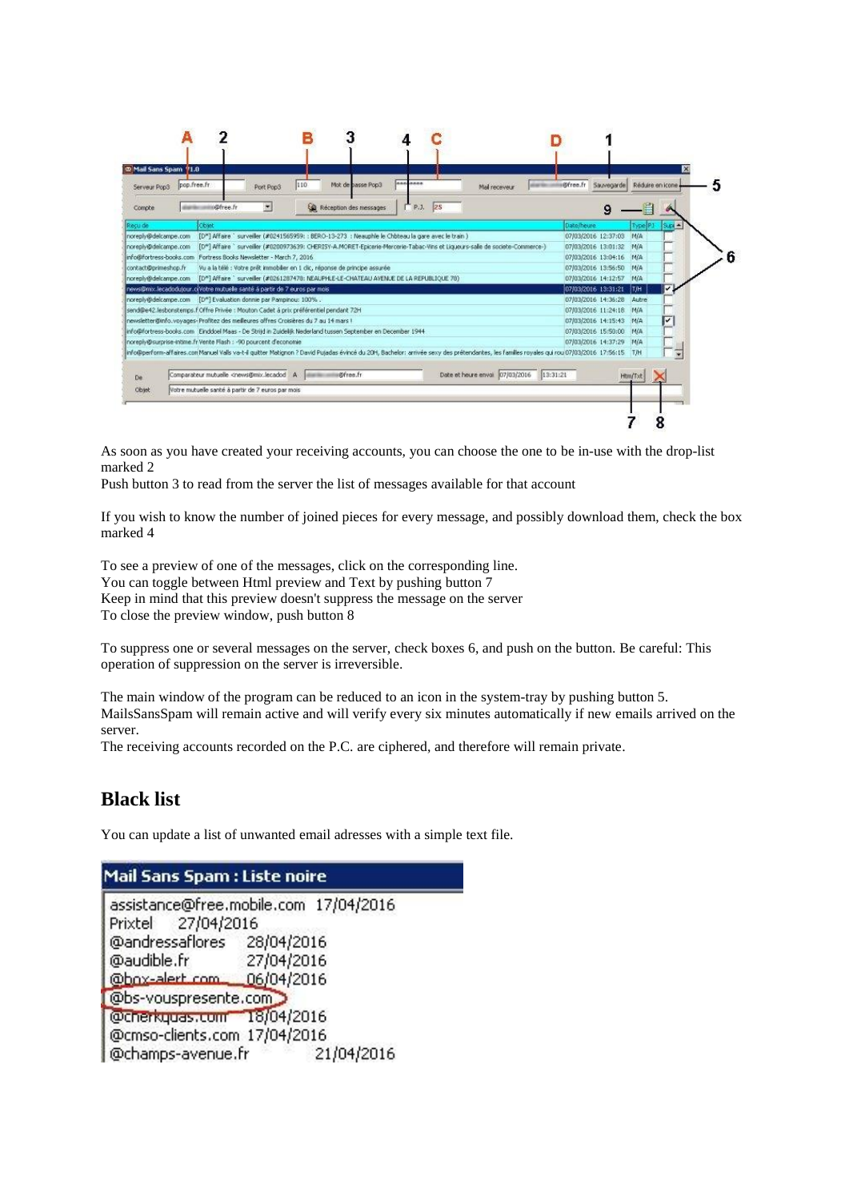

As soon as you have created your receiving accounts, you can choose the one to be in-use with the drop-list marked 2

Push button 3 to read from the server the list of messages available for that account

If you wish to know the number of joined pieces for every message, and possibly download them, check the box marked 4

To see a preview of one of the messages, click on the corresponding line. You can toggle between Html preview and Text by pushing button 7 Keep in mind that this preview doesn't suppress the message on the server To close the preview window, push button 8

To suppress one or several messages on the server, check boxes 6, and push on the button. Be careful: This operation of suppression on the server is irreversible.

The main window of the program can be reduced to an icon in the system-tray by pushing button 5. MailsSansSpam will remain active and will verify every six minutes automatically if new emails arrived on the server.

The receiving accounts recorded on the P.C. are ciphered, and therefore will remain private.

### **Black list**

You can update a list of unwanted email adresses with a simple text file.

#### Mail Sans Spam : Liste noire

| assistance@free.mobile.com 17/04/2016<br>Prixtel 27/04/2016 |            |            |  |  |  |  |
|-------------------------------------------------------------|------------|------------|--|--|--|--|
| @andressaflores                                             | 28/04/2016 |            |  |  |  |  |
| @audible.fr                                                 | 27/04/2016 |            |  |  |  |  |
| @box-alert.com 06/04/2016                                   |            |            |  |  |  |  |
| @bs-vouspresente.com                                        |            |            |  |  |  |  |
| @cherkguas.com 18/04/2016                                   |            |            |  |  |  |  |
| @cmso-clients.com 17/04/2016                                |            |            |  |  |  |  |
| @champs-avenue.fr                                           |            | 21/04/2016 |  |  |  |  |